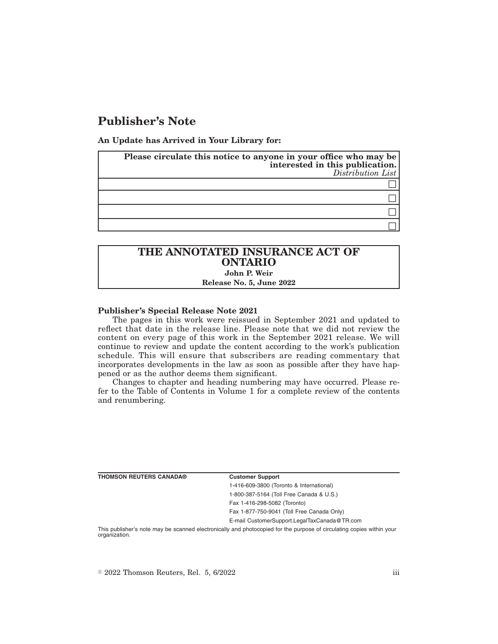# **Publisher's Note**

**An Update has Arrived in Your Library for:**

| Please circulate this notice to anyone in your office who may be<br>interested in this publication.<br>Distribution List |
|--------------------------------------------------------------------------------------------------------------------------|
|                                                                                                                          |
|                                                                                                                          |
|                                                                                                                          |
|                                                                                                                          |

### **THE ANNOTATED INSURANCE ACT OF ONTARIO John P. Weir Release No. 5, June 2022**

#### **Publisher's Special Release Note 2021**

The pages in this work were reissued in September 2021 and updated to reflect that date in the release line. Please note that we did not review the content on every page of this work in the September 2021 release. We will continue to review and update the content according to the work's publication schedule. This will ensure that subscribers are reading commentary that incorporates developments in the law as soon as possible after they have happened or as the author deems them significant.

Changes to chapter and heading numbering may have occurred. Please refer to the Table of Contents in Volume 1 for a complete review of the contents and renumbering.

| <b>THOMSON REUTERS CANADA®</b> | <b>Customer Support</b>                                                                                               |
|--------------------------------|-----------------------------------------------------------------------------------------------------------------------|
|                                | 1-416-609-3800 (Toronto & International)                                                                              |
|                                | 1-800-387-5164 (Toll Free Canada & U.S.)                                                                              |
|                                | Fax 1-416-298-5082 (Toronto)                                                                                          |
|                                | Fax 1-877-750-9041 (Toll Free Canada Only)                                                                            |
|                                | E-mail CustomerSupport.LegalTaxCanada@TR.com                                                                          |
| organization.                  | This publisher's note may be scanned electronically and photocopied for the purpose of circulating copies within your |

 $\textdegree$  2022 Thomson Reuters, Rel. 5, 6/2022 iii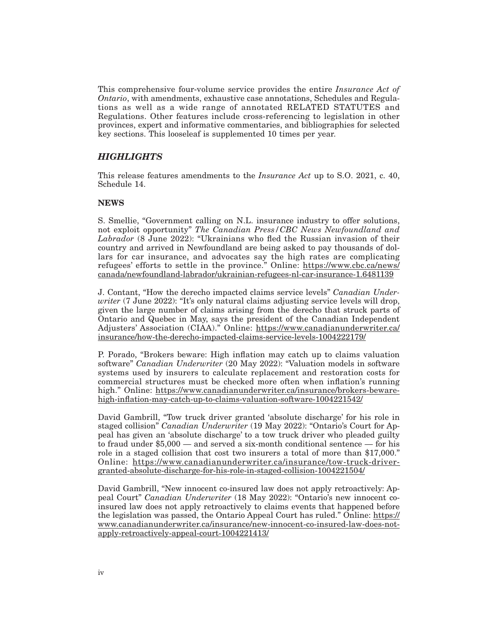This comprehensive four-volume service provides the entire *Insurance Act of Ontario*, with amendments, exhaustive case annotations, Schedules and Regulations as well as a wide range of annotated RELATED STATUTES and Regulations. Other features include cross-referencing to legislation in other provinces, expert and informative commentaries, and bibliographies for selected key sections. This looseleaf is supplemented 10 times per year.

## *HIGHLIGHTS*

This release features amendments to the *Insurance Act* up to S.O. 2021, c. 40, Schedule 14.

### **NEWS**

S. Smellie, "Government calling on N.L. insurance industry to offer solutions, not exploit opportunity" *The Canadian Press/CBC News Newfoundland and Labrador* (8 June 2022): "Ukrainians who fled the Russian invasion of their country and arrived in Newfoundland are being asked to pay thousands of dollars for car insurance, and advocates say the high rates are complicating refugees' efforts to settle in the province." Online: https://www.cbc.ca/news/ canada/newfoundland-labrador/ukrainian-refugees-nl-car-insurance-1.6481139

J. Contant, "How the derecho impacted claims service levels" *Canadian Underwriter* (7 June 2022): "It's only natural claims adjusting service levels will drop, given the large number of claims arising from the derecho that struck parts of Ontario and Quebec in May, says the president of the Canadian Independent Adjusters' Association (CIAA)." Online: https://www.canadianunderwriter.ca/ insurance/how-the-derecho-impacted-claims-service-levels-1004222179/

P. Porado, "Brokers beware: High inflation may catch up to claims valuation software" *Canadian Underwriter* (20 May 2022): "Valuation models in software systems used by insurers to calculate replacement and restoration costs for commercial structures must be checked more often when inflation's running high." Online: https://www.canadianunderwriter.ca/insurance/brokers-bewarehigh-inflation-may-catch-up-to-claims-valuation-software-1004221542/

David Gambrill, "Tow truck driver granted 'absolute discharge' for his role in staged collision" *Canadian Underwriter* (19 May 2022): "Ontario's Court for Appeal has given an 'absolute discharge' to a tow truck driver who pleaded guilty to fraud under \$5,000 — and served a six-month conditional sentence — for his role in a staged collision that cost two insurers a total of more than \$17,000." Online: https://www.canadianunderwriter.ca/insurance/tow-truck-drivergranted-absolute-discharge-for-his-role-in-staged-collision-1004221504/

David Gambrill, "New innocent co-insured law does not apply retroactively: Appeal Court" *Canadian Underwriter* (18 May 2022): "Ontario's new innocent coinsured law does not apply retroactively to claims events that happened before the legislation was passed, the Ontario Appeal Court has ruled." Online: https:// www.canadianunderwriter.ca/insurance/new-innocent-co-insured-law-does-notapply-retroactively-appeal-court-1004221413/